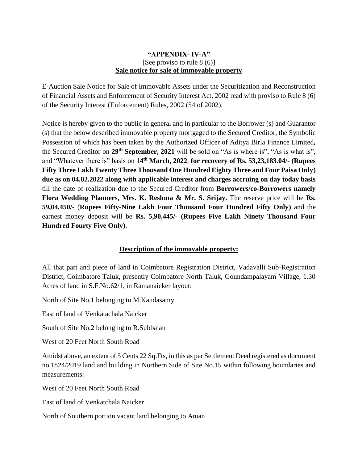## **"APPENDIX- IV-A"** [See proviso to rule 8 (6)] **Sale notice for sale of immovable property**

E-Auction Sale Notice for Sale of Immovable Assets under the Securitization and Reconstruction of Financial Assets and Enforcement of Security Interest Act, 2002 read with proviso to Rule 8 (6) of the Security Interest (Enforcement) Rules, 2002 (54 of 2002).

Notice is hereby given to the public in general and in particular to the Borrower (s) and Guarantor (s) that the below described immovable property mortgaged to the Secured Creditor, the Symbolic Possession of which has been taken by the Authorized Officer of Aditya Birla Finance Limited*,*  the Secured Creditor on **29th September, 2021** will be sold on "As is where is", "As is what is", and "Whatever there is" basis on **14 th March, 2022**, **for recovery of Rs. 53,23,183.04/- (Rupees Fifty Three Lakh Twenty Three Thousand One Hundred Eighty Three and Four Paisa Only) due as on 04.02.2022 along with applicable interest and charges accruing on day today basis** till the date of realization due to the Secured Creditor from **Borrowers/co-Borrowers namely Flora Wedding Planners, Mrs. K. Reshma & Mr. S. Srijay.** The reserve price will be **Rs. 59,04,450/-** (**Rupees Fifty-Nine Lakh Four Thousand Four Hundred Fifty Only)** and the earnest money deposit will be **Rs. 5,90,445/- (Rupees Five Lakh Ninety Thousand Four Hundred Fourty Five Only)**.

## **Description of the immovable property:**

All that part and piece of land in Coimbatore Registration District, Vadavalli Sub-Registration District, Coimbatore Taluk, presently Coimbatore North Taluk, Goundampalayam Village, 1.30 Acres of land in S.F.No.62/1, in Ramanaicker layout:

North of Site No.1 belonging to M.Kandasamy

East of land of Venkatachala Naicker

South of Site No.2 belonging to R.Subbaian

West of 20 Feet North South Road

Amidst above, an extent of 5 Cents 22 Sq.Fts, in this as per Settlement Deed registered as document no.1824/2019 land and building in Northern Side of Site No.15 within following boundaries and measurements:

West of 20 Feet North South Road

East of land of Venkatchala Naicker

North of Southern portion vacant land belonging to Anian